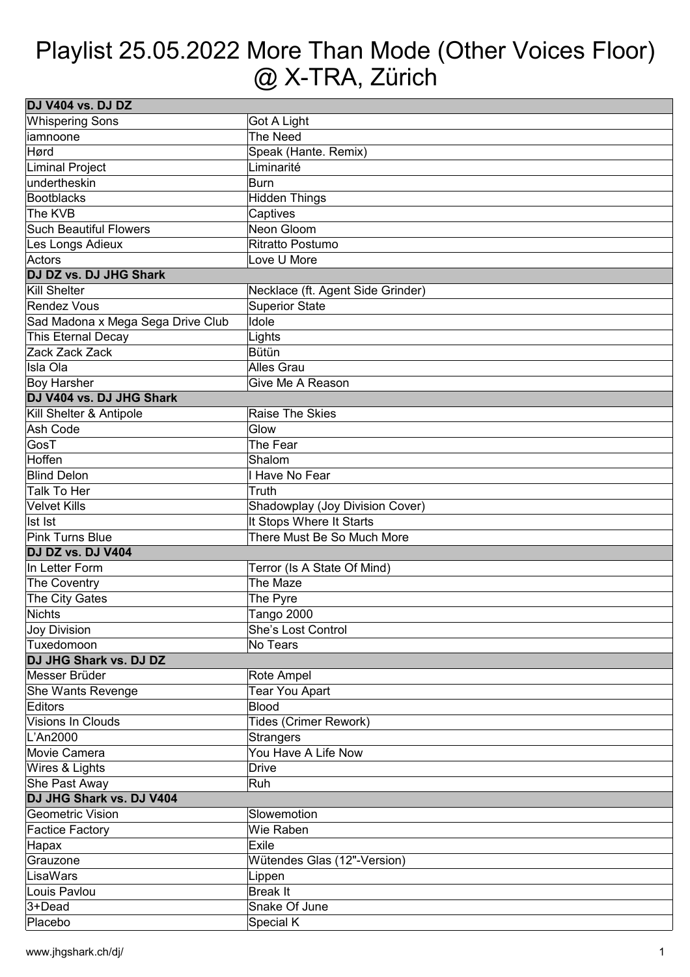## Playlist 25.05.2022 More Than Mode (Other Voices Floor) @ X-TRA, Zürich

| DJ V404 vs. DJ DZ                 |                                   |  |
|-----------------------------------|-----------------------------------|--|
| <b>Whispering Sons</b>            | Got A Light                       |  |
| liamnoone                         | The Need                          |  |
| Hørd                              | Speak (Hante. Remix)              |  |
| Liminal Project                   | Liminarité                        |  |
| undertheskin                      | Burn                              |  |
| Bootblacks                        | Hidden Things                     |  |
| The KVB                           | Captives                          |  |
| <b>Such Beautiful Flowers</b>     | Neon Gloom                        |  |
| Les Longs Adieux                  | Ritratto Postumo                  |  |
| Actors                            | Love U More                       |  |
| DJ DZ vs. DJ JHG Shark            |                                   |  |
| Kill Shelter                      | Necklace (ft. Agent Side Grinder) |  |
| Rendez Vous                       | Superior State                    |  |
| Sad Madona x Mega Sega Drive Club | Idole                             |  |
| This Eternal Decay                | Lights                            |  |
| Zack Zack Zack                    | Bütün                             |  |
| lIsla Ola                         | <b>Alles Grau</b>                 |  |
| Boy Harsher                       | Give Me A Reason                  |  |
| DJ V404 vs. DJ JHG Shark          |                                   |  |
| Kill Shelter & Antipole           | Raise The Skies                   |  |
| Ash Code                          | Glow                              |  |
| GosT                              | The Fear                          |  |
| Hoffen                            | Shalom                            |  |
| <b>Blind Delon</b>                | I Have No Fear                    |  |
| Talk To Her                       | Truth                             |  |
| Velvet Kills                      | Shadowplay (Joy Division Cover)   |  |
| Ist Ist                           | It Stops Where It Starts          |  |
| Pink Turns Blue                   | There Must Be So Much More        |  |
| DJ DZ vs. DJ V404                 |                                   |  |
| In Letter Form                    | Terror (Is A State Of Mind)       |  |
| The Coventry                      | The Maze                          |  |
| The City Gates                    | The Pyre                          |  |
| Nichts                            | Tango 2000                        |  |
| Joy Division                      | <b>She's Lost Control</b>         |  |
| Tuxedomoon                        | No Tears                          |  |
| DJ JHG Shark vs. DJ DZ            |                                   |  |
| Messer Brüder                     | Rote Ampel                        |  |
| She Wants Revenge                 | Tear You Apart                    |  |
| Editors                           | Blood                             |  |
| Visions In Clouds                 | Tides (Crimer Rework)             |  |
| L'An2000                          | <b>Strangers</b>                  |  |
| Movie Camera                      | You Have A Life Now               |  |
| Wires & Lights                    | <b>Drive</b>                      |  |
| She Past Away                     | Ruh                               |  |
| DJ JHG Shark vs. DJ V404          |                                   |  |
| Geometric Vision                  | Slowemotion                       |  |
| <b>Factice Factory</b>            | Wie Raben                         |  |
| Hapax                             | Exile                             |  |
| Grauzone                          | Wütendes Glas (12"-Version)       |  |
| LisaWars                          | Lippen                            |  |
| Louis Pavlou                      | Break It                          |  |
| $3 + Dead$                        | Snake Of June                     |  |
| Placebo                           | Special K                         |  |
|                                   |                                   |  |